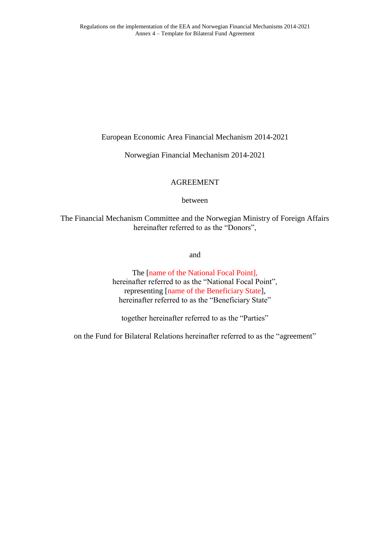European Economic Area Financial Mechanism 2014-2021

Norwegian Financial Mechanism 2014-2021

# AGREEMENT

between

The Financial Mechanism Committee and the Norwegian Ministry of Foreign Affairs hereinafter referred to as the "Donors",

and

The [name of the National Focal Point], hereinafter referred to as the "National Focal Point", representing [name of the Beneficiary State], hereinafter referred to as the "Beneficiary State"

together hereinafter referred to as the "Parties"

on the Fund for Bilateral Relations hereinafter referred to as the "agreement"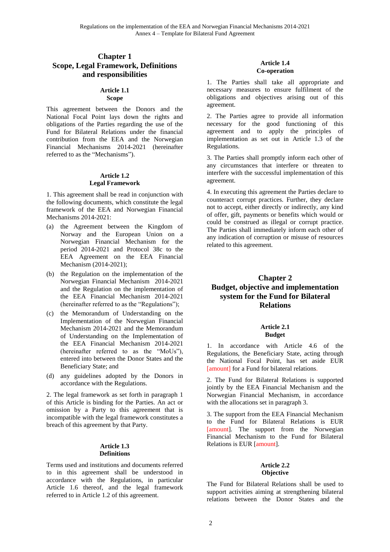# **Chapter 1 Scope, Legal Framework, Definitions and responsibilities**

#### **Article 1.1 Scope**

This agreement between the Donors and the National Focal Point lays down the rights and obligations of the Parties regarding the use of the Fund for Bilateral Relations under the financial contribution from the EEA and the Norwegian Financial Mechanisms 2014-2021 (hereinafter referred to as the "Mechanisms").

#### **Article 1.2 Legal Framework**

1. This agreement shall be read in conjunction with the following documents, which constitute the legal framework of the EEA and Norwegian Financial Mechanisms 2014-2021:

- (a) the Agreement between the Kingdom of Norway and the European Union on a Norwegian Financial Mechanism for the period 2014-2021 and Protocol 38c to the EEA Agreement on the EEA Financial Mechanism (2014-2021);
- (b) the Regulation on the implementation of the Norwegian Financial Mechanism 2014-2021 and the Regulation on the implementation of the EEA Financial Mechanism 2014-2021 (hereinafter referred to as the "Regulations");
- (c) the Memorandum of Understanding on the Implementation of the Norwegian Financial Mechanism 2014-2021 and the Memorandum of Understanding on the Implementation of the EEA Financial Mechanism 2014-2021 (hereinafter referred to as the "MoUs"), entered into between the Donor States and the Beneficiary State; and
- (d) any guidelines adopted by the Donors in accordance with the Regulations.

2. The legal framework as set forth in paragraph 1 of this Article is binding for the Parties. An act or omission by a Party to this agreement that is incompatible with the legal framework constitutes a breach of this agreement by that Party.

#### **Article 1.3 Definitions**

Terms used and institutions and documents referred to in this agreement shall be understood in accordance with the Regulations, in particular Article 1.6 thereof, and the legal framework referred to in Article 1.2 of this agreement.

# **Article 1.4 Co-operation**

1. The Parties shall take all appropriate and necessary measures to ensure fulfilment of the obligations and objectives arising out of this agreement.

2. The Parties agree to provide all information necessary for the good functioning of this agreement and to apply the principles of implementation as set out in Article 1.3 of the Regulations.

3. The Parties shall promptly inform each other of any circumstances that interfere or threaten to interfere with the successful implementation of this agreement.

4. In executing this agreement the Parties declare to counteract corrupt practices. Further, they declare not to accept, either directly or indirectly, any kind of offer, gift, payments or benefits which would or could be construed as illegal or corrupt practice. The Parties shall immediately inform each other of any indication of corruption or misuse of resources related to this agreement.

# **Chapter 2 Budget, objective and implementation system for the Fund for Bilateral Relations**

#### **Article 2.1 Budget**

1. In accordance with Article 4.6 of the Regulations, the Beneficiary State, acting through the National Focal Point, has set aside EUR [amount] for a Fund for bilateral relations.

2. The Fund for Bilateral Relations is supported jointly by the EEA Financial Mechanism and the Norwegian Financial Mechanism, in accordance with the allocations set in paragraph 3.

3. The support from the EEA Financial Mechanism to the Fund for Bilateral Relations is EUR [amount]. The support from the Norwegian Financial Mechanism to the Fund for Bilateral Relations is EUR [amount].

## **Article 2.2 Objective**

The Fund for Bilateral Relations shall be used to support activities aiming at strengthening bilateral relations between the Donor States and the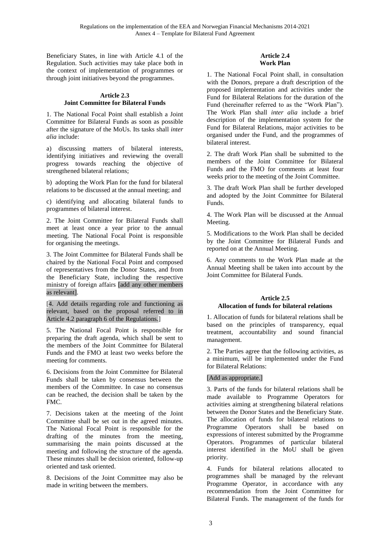Beneficiary States, in line with Article 4.1 of the Regulation. Such activities may take place both in the context of implementation of programmes or through joint initiatives beyond the programmes.

#### **Article 2.3 Joint Committee for Bilateral Funds**

1. The National Focal Point shall establish a Joint Committee for Bilateral Funds as soon as possible after the signature of the MoUs. Its tasks shall *inter alia* include:

a) discussing matters of bilateral interests, identifying initiatives and reviewing the overall progress towards reaching the objective of strengthened bilateral relations;

b) adopting the Work Plan for the fund for bilateral relations to be discussed at the annual meeting; and

c) identifying and allocating bilateral funds to programmes of bilateral interest.

2. The Joint Committee for Bilateral Funds shall meet at least once a year prior to the annual meeting. The National Focal Point is responsible for organising the meetings.

3. The Joint Committee for Bilateral Funds shall be chaired by the National Focal Point and composed of representatives from the Donor States, and from the Beneficiary State, including the respective ministry of foreign affairs [add any other members as relevant].

[4. Add details regarding role and functioning as relevant, based on the proposal referred to in Article 4.2 paragraph 6 of the Regulations.]

5. The National Focal Point is responsible for preparing the draft agenda, which shall be sent to the members of the Joint Committee for Bilateral Funds and the FMO at least two weeks before the meeting for comments.

6. Decisions from the Joint Committee for Bilateral Funds shall be taken by consensus between the members of the Committee. In case no consensus can be reached, the decision shall be taken by the FMC.

7. Decisions taken at the meeting of the Joint Committee shall be set out in the agreed minutes. The National Focal Point is responsible for the drafting of the minutes from the meeting, summarising the main points discussed at the meeting and following the structure of the agenda. These minutes shall be decision oriented, follow-up oriented and task oriented.

8. Decisions of the Joint Committee may also be made in writing between the members.

## **Article 2.4 Work Plan**

1. The National Focal Point shall, in consultation with the Donors, prepare a draft description of the proposed implementation and activities under the Fund for Bilateral Relations for the duration of the Fund (hereinafter referred to as the "Work Plan"). The Work Plan shall *inter alia* include a brief description of the implementation system for the Fund for Bilateral Relations, major activities to be organised under the Fund, and the programmes of bilateral interest.

2. The draft Work Plan shall be submitted to the members of the Joint Committee for Bilateral Funds and the FMO for comments at least four weeks prior to the meeting of the Joint Committee.

3. The draft Work Plan shall be further developed and adopted by the Joint Committee for Bilateral Funds.

4. The Work Plan will be discussed at the Annual Meeting.

5. Modifications to the Work Plan shall be decided by the Joint Committee for Bilateral Funds and reported on at the Annual Meeting.

6. Any comments to the Work Plan made at the Annual Meeting shall be taken into account by the Joint Committee for Bilateral Funds.

# **Article 2.5 Allocation of funds for bilateral relations**

1. Allocation of funds for bilateral relations shall be based on the principles of transparency, equal treatment, accountability and sound financial management.

2. The Parties agree that the following activities, as a minimum, will be implemented under the Fund for Bilateral Relations:

# [Add as appropriate.]

3. Parts of the funds for bilateral relations shall be made available to Programme Operators for activities aiming at strengthening bilateral relations between the Donor States and the Beneficiary State. The allocation of funds for bilateral relations to Programme Operators shall be based on expressions of interest submitted by the Programme Operators. Programmes of particular bilateral interest identified in the MoU shall be given priority.

4. Funds for bilateral relations allocated to programmes shall be managed by the relevant Programme Operator, in accordance with any recommendation from the Joint Committee for Bilateral Funds. The management of the funds for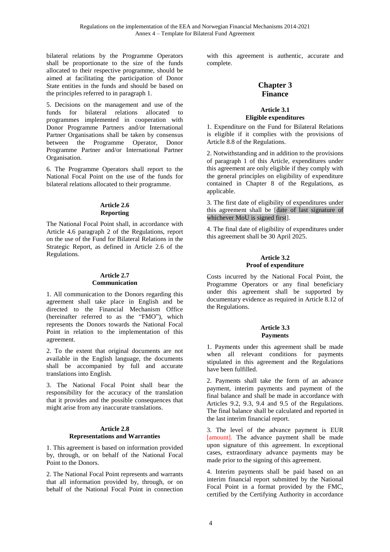bilateral relations by the Programme Operators shall be proportionate to the size of the funds allocated to their respective programme, should be aimed at facilitating the participation of Donor State entities in the funds and should be based on the principles referred to in paragraph 1.

5. Decisions on the management and use of the funds for bilateral relations allocated to programmes implemented in cooperation with Donor Programme Partners and/or International Partner Organisations shall be taken by consensus between the Programme Operator, Donor Programme Partner and/or International Partner Organisation.

6. The Programme Operators shall report to the National Focal Point on the use of the funds for bilateral relations allocated to their programme.

## **Article 2.6 Reporting**

The National Focal Point shall, in accordance with Article 4.6 paragraph 2 of the Regulations, report on the use of the Fund for Bilateral Relations in the Strategic Report, as defined in Article 2.6 of the Regulations.

## **Article 2.7 Communication**

1. All communication to the Donors regarding this agreement shall take place in English and be directed to the Financial Mechanism Office (hereinafter referred to as the "FMO"), which represents the Donors towards the National Focal Point in relation to the implementation of this agreement.

2. To the extent that original documents are not available in the English language, the documents shall be accompanied by full and accurate translations into English.

3. The National Focal Point shall bear the responsibility for the accuracy of the translation that it provides and the possible consequences that might arise from any inaccurate translations.

#### **Article 2.8 Representations and Warranties**

1. This agreement is based on information provided by, through, or on behalf of the National Focal Point to the Donors.

2. The National Focal Point represents and warrants that all information provided by, through, or on behalf of the National Focal Point in connection

with this agreement is authentic, accurate and complete.

# **Chapter 3 Finance**

## **Article 3.1 Eligible expenditures**

1. Expenditure on the Fund for Bilateral Relations is eligible if it complies with the provisions of Article 8.8 of the Regulations.

2. Notwithstanding and in addition to the provisions of paragraph 1 of this Article, expenditures under this agreement are only eligible if they comply with the general principles on eligibility of expenditure contained in Chapter 8 of the Regulations, as applicable.

3. The first date of eligibility of expenditures under this agreement shall be [date of last signature of whichever MoU is signed first].

4. The final date of eligibility of expenditures under this agreement shall be 30 April 2025.

#### **Article 3.2 Proof of expenditure**

Costs incurred by the National Focal Point, the Programme Operators or any final beneficiary under this agreement shall be supported by documentary evidence as required in Article 8.12 of the Regulations.

## **Article 3.3 Payments**

1. Payments under this agreement shall be made when all relevant conditions for payments stipulated in this agreement and the Regulations have been fulfilled.

2. Payments shall take the form of an advance payment, interim payments and payment of the final balance and shall be made in accordance with Articles 9.2, 9.3, 9.4 and 9.5 of the Regulations. The final balance shall be calculated and reported in the last interim financial report.

3. The level of the advance payment is EUR [amount]. The advance payment shall be made upon signature of this agreement. In exceptional cases, extraordinary advance payments may be made prior to the signing of this agreement.

4. Interim payments shall be paid based on an interim financial report submitted by the National Focal Point in a format provided by the FMC, certified by the Certifying Authority in accordance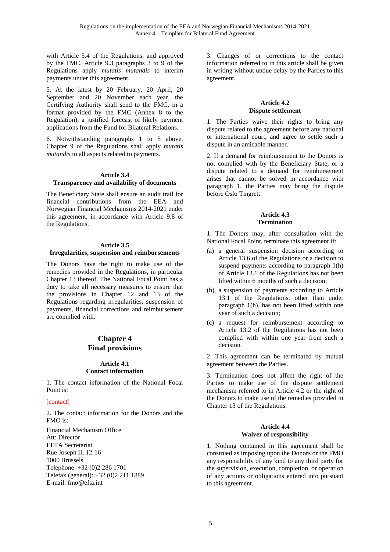with Article 5.4 of the Regulations, and approved by the FMC. Article 9.3 paragraphs 3 to 9 of the Regulations apply *mutatis mutandis* to interim payments under this agreement.

5. At the latest by 20 February, 20 April, 20 September and 20 November each year, the Certifying Authority shall send to the FMC, in a format provided by the FMC (Annex 8 to the Regulation), a justified forecast of likely payment applications from the Fund for Bilateral Relations.

6. Notwithstanding paragraphs 1 to 5 above, Chapter 9 of the Regulations shall apply *mutatis mutandis* to all aspects related to payments.

#### **Article 3.4 Transparency and availability of documents**

The Beneficiary State shall ensure an audit trail for financial contributions from the EEA and Norwegian Financial Mechanisms 2014-2021 under this agreement, in accordance with Article 9.8 of the Regulations.

#### **Article 3.5**

#### **Irregularities, suspension and reimbursements**

The Donors have the right to make use of the remedies provided in the Regulations, in particular Chapter 13 thereof. The National Focal Point has a duty to take all necessary measures to ensure that the provisions in Chapter 12 and 13 of the Regulations regarding irregularities, suspension of payments, financial corrections and reimbursement are complied with.

# **Chapter 4 Final provisions**

## **Article 4.1 Contact information**

1. The contact information of the National Focal Point is:

#### [contact]

2. The contact information for the Donors and the FMO is: Financial Mechanism Office Att: Director EFTA Secretariat Rue Joseph II, 12-16 1000 Brussels Telephone: +32 (0)2 286 1701

Telefax (general): +32 (0)2 211 1889

E-mail: [fmo@efta.int](mailto:fmo@efta.int)

3. Changes of or corrections to the contact information referred to in this article shall be given in writing without undue delay by the Parties to this agreement.

#### **Article 4.2 Dispute settlement**

1. The Parties waive their rights to bring any dispute related to the agreement before any national or international court, and agree to settle such a dispute in an amicable manner.

2. If a demand for reimbursement to the Donors is not complied with by the Beneficiary State, or a dispute related to a demand for reimbursement arises that cannot be solved in accordance with paragraph 1, the Parties may bring the dispute before Oslo Tingrett.

## **Article 4.3 Termination**

1. The Donors may, after consultation with the National Focal Point, terminate this agreement if:

- (a) a general suspension decision according to Article 13.6 of the Regulations or a decision to suspend payments according to paragraph 1(h) of Article 13.1 of the Regulations has not been lifted within 6 months of such a decision;
- (b) a suspension of payments according to Article 13.1 of the Regulations, other than under paragraph 1(h), has not been lifted within one year of such a decision;
- (c) a request for reimbursement according to Article 13.2 of the Regulations has not been complied with within one year from such a decision.

2. This agreement can be terminated by mutual agreement between the Parties.

3. Termination does not affect the right of the Parties to make use of the dispute settlement mechanism referred to in Article 4.2 or the right of the Donors to make use of the remedies provided in Chapter 13 of the Regulations.

#### **Article 4.4 Waiver of responsibility**

1. Nothing contained in this agreement shall be construed as imposing upon the Donors or the FMO any responsibility of any kind to any third party for the supervision, execution, completion, or operation of any actions or obligations entered into pursuant to this agreement.